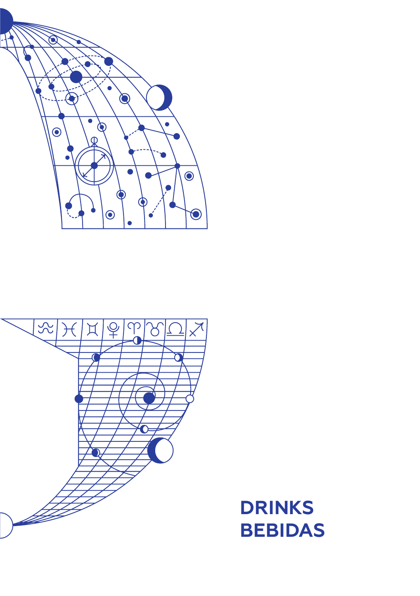



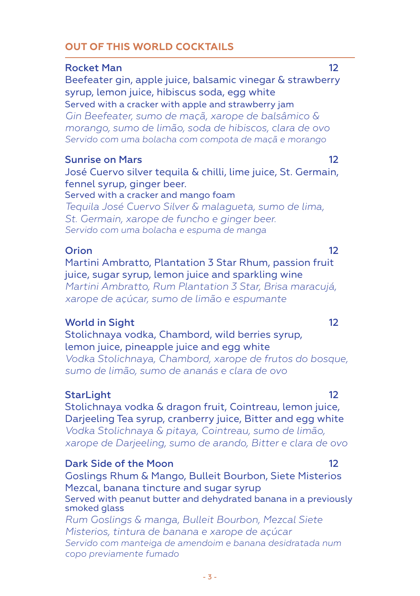# **OUT OF THIS WORLD COCKTAILS**

#### Rocket Man 12

Beefeater gin, apple juice, balsamic vinegar & strawberry syrup, lemon juice, hibiscus soda, egg white Served with a cracker with apple and strawberry jam *Gin Beefeater, sumo de maçã, xarope de balsâmico & morango, sumo de limão, soda de hibiscos, clara de ovo Servido com uma bolacha com compota de maçã e morango*

### Sunrise on Mars 12

José Cuervo silver tequila & chilli, lime juice, St. Germain, fennel syrup, ginger beer. Served with a cracker and mango foam

*Tequila José Cuervo Silver & malagueta, sumo de lima, St. Germain, xarope de funcho e ginger beer. Servido com uma bolacha e espuma de manga* 

#### Orion 12

Martini Ambratto, Plantation 3 Star Rhum, passion fruit juice, sugar syrup, lemon juice and sparkling wine *Martini Ambratto, Rum Plantation 3 Star, Brisa maracujá, xarope de açúcar, sumo de limão e espumante* 

## World in Sight 12

Stolichnaya vodka, Chambord, wild berries syrup, lemon juice, pineapple juice and egg white *Vodka Stolichnaya, Chambord, xarope de frutos do bosque, sumo de limão, sumo de ananás e clara de ovo*

## StarLight 12

Stolichnaya vodka & dragon fruit, Cointreau, lemon juice, Darieeling Tea syrup, cranberry juice, Bitter and egg white *Vodka Stolichnaya & pitaya, Cointreau, sumo de limão, xarope de Darjeeling, sumo de arando, Bitter e clara de ovo*

#### Dark Side of the Moon 12

Goslings Rhum & Mango, Bulleit Bourbon, Siete Misterios Mezcal, banana tincture and sugar syrup Served with peanut butter and dehydrated banana in a previously smoked glass

*Rum Goslings & manga, Bulleit Bourbon, Mezcal Siete Misterios, tintura de banana e xarope de açúcar Servido com manteiga de amendoim e banana desidratada num copo previamente fumado*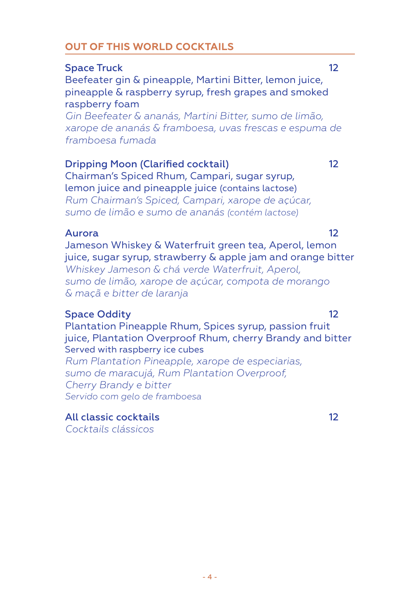# **OUT OF THIS WORLD COCKTAILS**

# Space Truck 12

Beefeater gin & pineapple, Martini Bitter, lemon juice, pineapple & raspberry syrup, fresh grapes and smoked raspberry foam

*Gin Beefeater & ananás, Martini Bitter, sumo de limão, xarope de ananás & framboesa, uvas frescas e espuma de framboesa fumada*

### Dripping Moon (Clarified cocktail) 12

Chairman's Spiced Rhum, Campari, sugar syrup, lemon juice and pineapple juice (contains lactose) *Rum Chairman's Spiced, Campari, xarope de açúcar, sumo de limão e sumo de ananás (contém lactose)*

#### Aurora 12

Jameson Whiskey & Waterfruit green tea, Aperol, lemon juice, sugar syrup, strawberry & apple jam and orange bitter *Whiskey Jameson & chá verde Waterfruit, Aperol, sumo de limão, xarope de açúcar, compota de morango & maçã e bitter de laranja*

## Space Oddity 12

Plantation Pineapple Rhum, Spices syrup, passion fruit juice, Plantation Overproof Rhum, cherry Brandy and bitter Served with raspberry ice cubes

*Rum Plantation Pineapple, xarope de especiarias, sumo de maracujá, Rum Plantation Overproof, Cherry Brandy e bitter Servido com gelo de framboesa*

#### All classic cocktails 12 *Cocktails clássicos*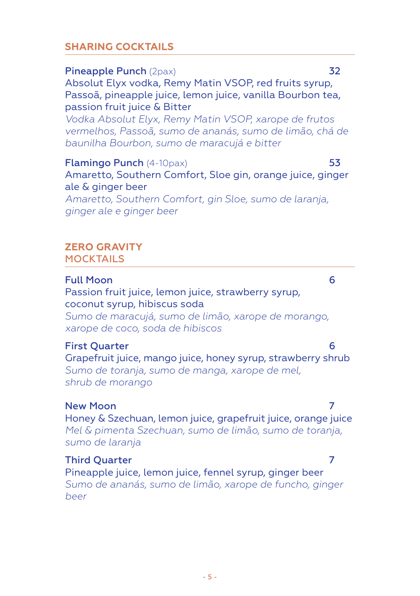# **SHARING COCKTAILS**

# Pineapple Punch (2pax) 32 Absolut Elyx vodka, Remy Matin VSOP, red fruits syrup, Passoã, pineapple juice, lemon juice, vanilla Bourbon tea, passion fruit juice & Bitter

*Vodka Absolut Elyx, Remy Matin VSOP, xarope de frutos vermelhos, Passoã, sumo de ananás, sumo de limão, chá de baunilha Bourbon, sumo de maracujá e bitter*

Flamingo Punch (4-10pax) 53 Amaretto, Southern Comfort, Sloe gin, orange juice, ginger ale & ginger beer *Amaretto, Southern Comfort, gin Sloe, sumo de laranja, ginger ale e ginger beer* 

#### **ZERO GRAVITY MOCKTAILS**

### Full Moon 6

Passion fruit juice, lemon juice, strawberry syrup, coconut syrup, hibiscus soda

*Sumo de maracujá, sumo de limão, xarope de morango, xarope de coco, soda de hibiscos* 

## First Quarter 6

Grapefruit juice, mango juice, honey syrup, strawberry shrub *Sumo de toranja, sumo de manga, xarope de mel, shrub de morango*

# New Moon 7 and 7 and 7 and 7 and 7 and 7 and 7 and 7 and 7 and 7 and 7 and 7 and 7 and 7 and 7 and 7 and 7 and 7

Honey & Szechuan, lemon juice, grapefruit juice, orange juice *Mel & pimenta Szechuan, sumo de limão, sumo de toranja, sumo de laranja*

#### Third Quarter 7

Pineapple juice, lemon juice, fennel syrup, ginger beer *Sumo de ananás, sumo de limão, xarope de funcho, ginger beer*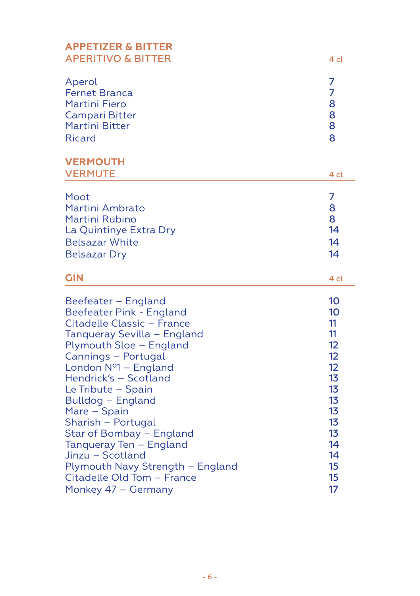| <b>APPETIZER &amp; BITTER</b><br><b>APERITIVO &amp; BITTER</b> | 4 cl           |
|----------------------------------------------------------------|----------------|
| Aperol                                                         | 7              |
| <b>Fernet Branca</b>                                           | 7              |
| <b>Martini Fiero</b>                                           | 8              |
| Campari Bitter                                                 | 8              |
| <b>Martini Bitter</b>                                          | 8              |
| <b>Ricard</b>                                                  | 8              |
| <b>VERMOUTH</b><br><b>VERMUTE</b>                              | 4 cl           |
| Moot                                                           | 7              |
| Martini Ambrato                                                | 8              |
| Martini Rubino                                                 | 8              |
| La Quintinye Extra Dry                                         | 14             |
| <b>Belsazar White</b>                                          | 14             |
| <b>Belsazar Dry</b>                                            | 14             |
| <b>GIN</b>                                                     | 4 cl           |
| Beefeater - England                                            | 10             |
| Beefeater Pink - England                                       | 10             |
| Citadelle Classic - France                                     | 11             |
| Tanqueray Sevilla - England                                    | 11             |
| Plymouth Sloe - England                                        | 12             |
| Cannings - Portugal                                            | 12             |
| London Nº1 - England                                           | 12             |
| Hendrick's - Scotland                                          | 1 <sub>3</sub> |
| Le Tribute - Spain                                             | 13             |
| Bulldog - England                                              | 1 <sub>3</sub> |
| Mare - Spain                                                   | 13             |
| Sharish - Portugal                                             | 13             |
| Star of Bombay - England                                       | 13             |
| Tanqueray Ten - England                                        | 14             |
| Jinzu - Scotland                                               | 14             |
| Plymouth Navy Strength - England                               | 15             |
| Citadelle Old Tom - France                                     | 15             |
| Monkey 47 - Germany                                            | 17             |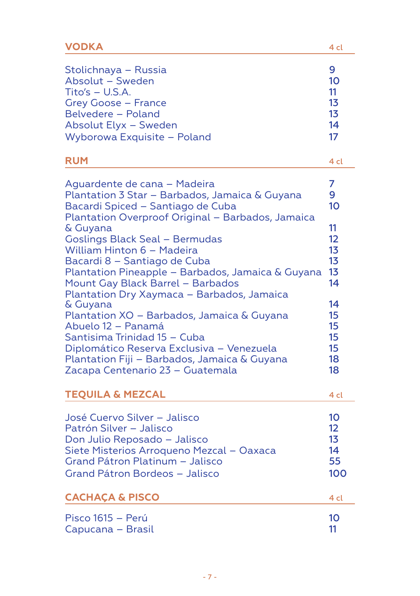| VODKA                                                                                                                                                                                                                                                                                                                                                                                                                                                                                                                                                                                                                                                                                | 4 cl                                                                                                               |
|--------------------------------------------------------------------------------------------------------------------------------------------------------------------------------------------------------------------------------------------------------------------------------------------------------------------------------------------------------------------------------------------------------------------------------------------------------------------------------------------------------------------------------------------------------------------------------------------------------------------------------------------------------------------------------------|--------------------------------------------------------------------------------------------------------------------|
| Stolichnaya - Russia<br>Absolut - Sweden<br>$Tito's - U.S.A.$<br>Grey Goose - France<br>Belvedere - Poland<br>Absolut Elyx - Sweden<br>Wyborowa Exquisite - Poland                                                                                                                                                                                                                                                                                                                                                                                                                                                                                                                   | 9<br>10<br>11<br>13<br>13<br>14<br>17                                                                              |
| <b>RUM</b>                                                                                                                                                                                                                                                                                                                                                                                                                                                                                                                                                                                                                                                                           | 4 cl                                                                                                               |
| Aguardente de cana - Madeira<br>Plantation 3 Star – Barbados, Jamaica & Guyana<br>Bacardi Spiced - Santiago de Cuba<br>Plantation Overproof Original - Barbados, Jamaica<br>& Guyana<br><b>Goslings Black Seal - Bermudas</b><br>William Hinton 6 – Madeira<br>Bacardi 8 - Santiago de Cuba<br>Plantation Pineapple - Barbados, Jamaica & Guyana<br>Mount Gay Black Barrel - Barbados<br>Plantation Dry Xaymaca - Barbados, Jamaica<br>& Guyana<br>Plantation XO - Barbados, Jamaica & Guyana<br>Abuelo 12 - Panamá<br>Santisima Trinidad 15 - Cuba<br>Diplomático Reserva Exclusiva - Venezuela<br>Plantation Fiji - Barbados, Jamaica & Guyana<br>Zacapa Centenario 23 - Guatemala | 7<br>9<br>10<br>11<br>12<br>13<br>1 <sub>3</sub><br>1 <sub>3</sub><br>14<br>14<br>15<br>15<br>15<br>15<br>18<br>18 |
| <b>TEQUILA &amp; MEZCAL</b>                                                                                                                                                                                                                                                                                                                                                                                                                                                                                                                                                                                                                                                          | 4 cl                                                                                                               |
| José Cuervo Silver – Jalisco<br>Patrón Silver - Jalisco<br>Don Julio Reposado - Jalisco<br>Siete Misterios Arroqueno Mezcal - Oaxaca<br>Grand Pátron Platinum - Jalisco<br>Grand Pátron Bordeos - Jalisco                                                                                                                                                                                                                                                                                                                                                                                                                                                                            | 10<br>12<br>13<br>14<br>55<br>100                                                                                  |
| <b>CACHAÇA &amp; PISCO</b>                                                                                                                                                                                                                                                                                                                                                                                                                                                                                                                                                                                                                                                           | 4 cl                                                                                                               |
| Pisco 1615 – Perú<br>Capucana – Brasil                                                                                                                                                                                                                                                                                                                                                                                                                                                                                                                                                                                                                                               | 10<br>11                                                                                                           |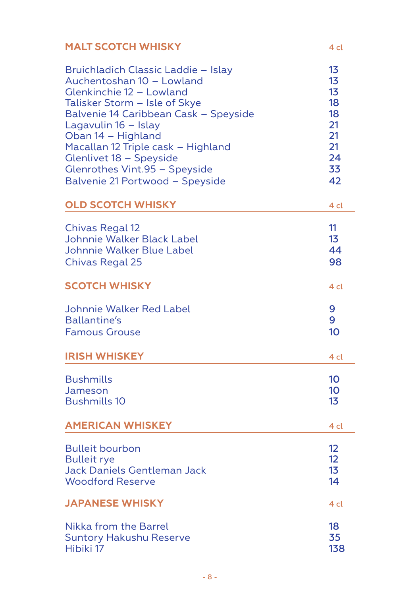| <b>MALT SCOTCH WHISKY</b>             | 4 cl              |
|---------------------------------------|-------------------|
| Bruichladich Classic Laddie - Islay   | 13                |
| Auchentoshan 10 - Lowland             | 13                |
| Glenkinchie 12 - Lowland              | 13                |
| Talisker Storm - Isle of Skye         | 18                |
| Balvenie 14 Caribbean Cask - Speyside | 18                |
| Lagavulin 16 - Islay                  | 21                |
| Oban 14 - Highland                    | 21                |
| Macallan 12 Triple cask - Highland    | 21                |
| Glenlivet 18 - Speyside               | 24                |
| <b>Glenrothes Vint.95 - Speyside</b>  | 33                |
| Balvenie 21 Portwood - Speyside       | 42                |
| <b>OLD SCOTCH WHISKY</b>              | 4 cl              |
| <b>Chivas Regal 12</b>                | 11                |
| Johnnie Walker Black Label            | 1 <sub>3</sub>    |
| Johnnie Walker Blue Label             | 44                |
| <b>Chivas Regal 25</b>                | 98                |
| <b>SCOTCH WHISKY</b>                  | 4 cl              |
| <b>Johnnie Walker Red Label</b>       | 9                 |
| Ballantine's                          | 9                 |
| <b>Famous Grouse</b>                  | 10                |
| <b>IRISH WHISKEY</b>                  | 4 cl              |
| <b>Bushmills</b>                      | 10                |
| Jameson                               | 10 <sup>°</sup>   |
| <b>Bushmills 10</b>                   | 1 <sub>3</sub>    |
| <b>AMERICAN WHISKEY</b>               | 4 cl              |
| <b>Bulleit bourbon</b>                | 12                |
| <b>Bulleit rye</b>                    | $12 \overline{ }$ |
| Jack Daniels Gentleman Jack           | 13                |
| <b>Woodford Reserve</b>               | 14                |
| <b>JAPANESE WHISKY</b>                | 4 cl              |
| <b>Nikka from the Barrel</b>          | 18                |
| <b>Suntory Hakushu Reserve</b>        | 35                |
| Hibiki 17                             | 138               |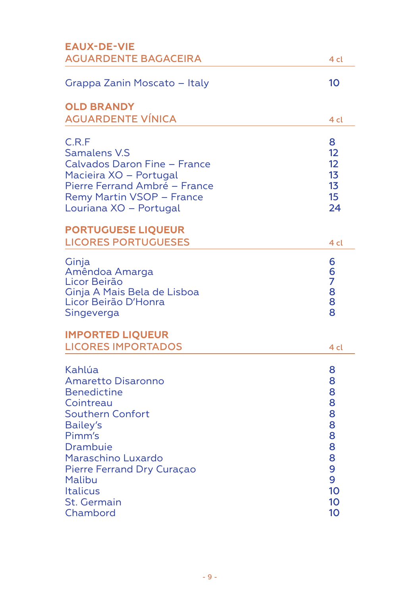| <b>EAUX-DE-VIE</b>                                                                                                                                                                                                                                     |                                                                       |
|--------------------------------------------------------------------------------------------------------------------------------------------------------------------------------------------------------------------------------------------------------|-----------------------------------------------------------------------|
| <b>AGUARDENTE BAGACEIRA</b>                                                                                                                                                                                                                            | 4 cl                                                                  |
| Grappa Zanin Moscato - Italy                                                                                                                                                                                                                           | 10                                                                    |
| <b>OLD BRANDY</b><br><b>AGUARDENTE VÍNICA</b>                                                                                                                                                                                                          | 4 cl                                                                  |
| C.R.F<br><b>Samalens V.S</b><br>Calvados Daron Fine - France<br>Macieira XO - Portugal<br>Pierre Ferrand Ambré - France<br>Remy Martin VSOP - France<br>Louriana XO - Portugal<br><b>PORTUGUESE LIQUEUR</b>                                            | 8<br>12<br>12<br>1 <sub>3</sub><br>13<br>15<br>24                     |
| <b>LICORES PORTUGUESES</b>                                                                                                                                                                                                                             | 4 cl                                                                  |
| Ginja<br>Amêndoa Amarga<br>Licor Beirão<br>Ginja A Mais Bela de Lisboa<br>Licor Beirão D'Honra<br>Singeverga                                                                                                                                           | 6<br>6<br>7<br>8<br>8<br>8                                            |
| <b>IMPORTED LIQUEUR</b><br><b>LICORES IMPORTADOS</b>                                                                                                                                                                                                   | 4 cl                                                                  |
| Kahlúa<br>Amaretto Disaronno<br><b>Benedictine</b><br>Cointreau<br><b>Southern Confort</b><br><b>Bailey's</b><br>Pimm's<br>Drambuie<br>Maraschino Luxardo<br>Pierre Ferrand Dry Curaçao<br>Malibu<br><b>Italicus</b><br><b>St. Germain</b><br>Chambord | 8<br>8<br>8<br>8<br>8<br>8<br>8<br>8<br>8<br>9<br>9<br>10<br>10<br>10 |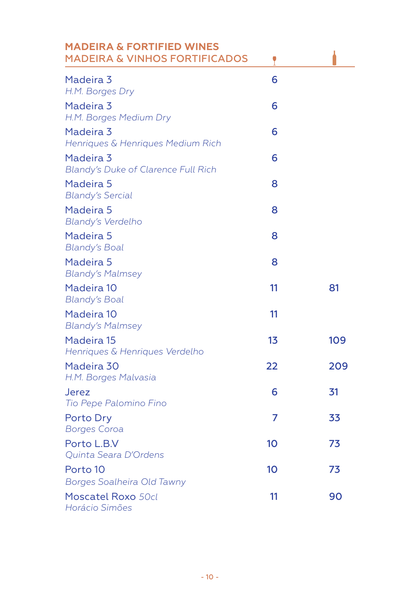| <b>MADEIRA &amp; FORTIFIED WINES</b><br><b>MADEIRA &amp; VINHOS FORTIFICADOS</b> | ٢              |     |
|----------------------------------------------------------------------------------|----------------|-----|
| Madeira 3<br>H.M. Borges Dry                                                     | 6              |     |
| Madeira 3<br>H.M. Borges Medium Dry                                              | 6              |     |
| Madeira 3<br>Henriques & Henriques Medium Rich                                   | 6              |     |
| Madeira 3<br>Blandy's Duke of Clarence Full Rich                                 | 6              |     |
| Madeira 5<br><b>Blandy's Sercial</b>                                             | 8              |     |
| Madeira 5<br>Blandy's Verdelho                                                   | 8              |     |
| Madeira 5<br><b>Blandy's Boal</b>                                                | 8              |     |
| Madeira 5<br><b>Blandy's Malmsey</b>                                             | 8              |     |
| Madeira 10<br><b>Blandy's Boal</b>                                               | 11             | 81  |
| Madeira 10<br><b>Blandy's Malmsey</b>                                            | 11             |     |
| Madeira 15<br>Henriques & Henriques Verdelho                                     | 1 <sub>3</sub> | 109 |
| Madeira 30<br>H.M. Borges Malvasia                                               | 22             | 209 |
| Jerez<br>Tio Pepe Palomino Fino                                                  | 6              | 31  |
| Porto Dry<br><b>Borges Coroa</b>                                                 | 7              | 33  |
| Porto L.B.V<br>Quinta Seara D'Ordens                                             | 10             | 73  |
| Porto 10                                                                         | 10             | 73  |
| Borges Soalheira Old Tawny                                                       |                |     |
| Moscatel Roxo 50cl<br>Horácio Simões                                             | 11             | 90  |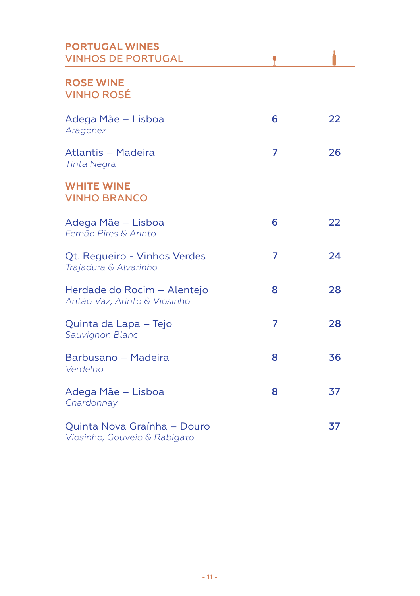| <b>PORTUGAL WINES</b><br><b>VINHOS DE PORTUGAL</b>          |   |    |
|-------------------------------------------------------------|---|----|
| <b>ROSE WINE</b><br><b>VINHO ROSÉ</b>                       |   |    |
| Adega Mãe - Lisboa<br>Aragonez                              | 6 | 22 |
| Atlantis - Madeira<br><b>Tinta Negra</b>                    | 7 | 26 |
| <b>WHITE WINE</b><br><b>VINHO BRANCO</b>                    |   |    |
| Adega Mãe - Lisboa<br>Fernão Pires & Arinto                 | 6 | 22 |
| Qt. Regueiro - Vinhos Verdes<br>Trajadura & Alvarinho       | 7 | 24 |
| Herdade do Rocim - Alentejo<br>Antão Vaz, Arinto & Viosinho | 8 | 28 |
| Quinta da Lapa – Tejo<br>Sauvignon Blanc                    | 7 | 28 |
| Barbusano - Madeira<br>Verdelho                             | 8 | 36 |
| Adega Mãe - Lisboa<br>Chardonnay                            | 8 | 37 |
| Quinta Nova Graínha – Douro<br>Viosinho, Gouveio & Rabigato |   | 37 |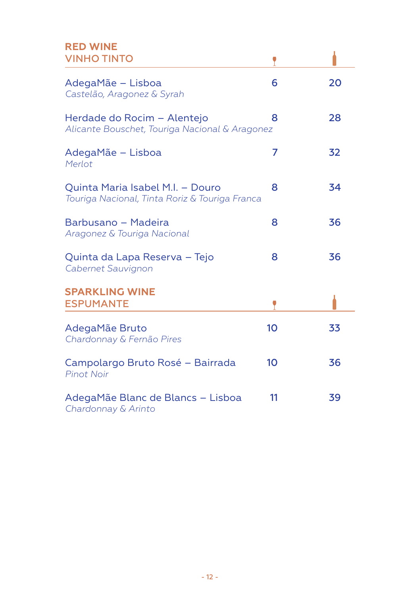### **RED WINE** VINHO TINTO

| AdegaMãe - Lisboa<br>Castelão, Aragonez & Syrah                                    | 6  | 20 |
|------------------------------------------------------------------------------------|----|----|
| Herdade do Rocim – Alentejo<br>Alicante Bouschet, Touriga Nacional & Aragonez      | 8  | 28 |
| AdegaMãe - Lisboa<br>Merlot                                                        | 7  | 32 |
| Quinta Maria Isabel M.I. - Douro<br>Touriga Nacional, Tinta Roriz & Touriga Franca | 8  | 34 |
| Barbusano - Madeira<br>Aragonez & Touriga Nacional                                 | 8  | 36 |
| Quinta da Lapa Reserva - Tejo<br>Cabernet Sauvignon                                | 8  | 36 |
| <b>SPARKLING WINE</b><br><b>ESPUMANTE</b>                                          |    |    |
| AdegaMãe Bruto<br>Chardonnay & Fernão Pires                                        | 10 | 33 |
| Campolargo Bruto Rosé - Bairrada<br><b>Pinot Noir</b>                              | 10 | 36 |
| AdegaMãe Blanc de Blancs – Lisboa<br>Chardonnay & Arinto                           | 11 | 39 |

 $\mathcal{L} \subset \mathcal{L}$ 

 $\bullet$  . The set of  $\bullet$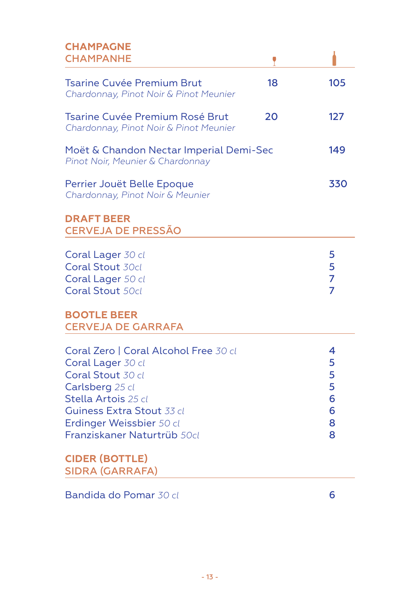#### **CHAMPAGNE** CHAMPANHE

| <b>CHAMPAGNE</b><br><b>CHAMPANHE</b>                                                                                                                                                                                     |    |                                      |
|--------------------------------------------------------------------------------------------------------------------------------------------------------------------------------------------------------------------------|----|--------------------------------------|
| <b>Tsarine Cuvée Premium Brut</b><br>Chardonnay, Pinot Noir & Pinot Meunier                                                                                                                                              | 18 | 105                                  |
| Tsarine Cuvée Premium Rosé Brut<br>Chardonnay, Pinot Noir & Pinot Meunier                                                                                                                                                | 20 | 127                                  |
| Moët & Chandon Nectar Imperial Demi-Sec<br>Pinot Noir, Meunier & Chardonnay                                                                                                                                              |    | 149                                  |
| Perrier Jouët Belle Epoque<br>Chardonnay, Pinot Noir & Meunier                                                                                                                                                           |    | 330                                  |
| <b>DRAFT BEER</b><br><b>CERVEJA DE PRESSÃO</b>                                                                                                                                                                           |    |                                      |
| Coral Lager 30 cl<br>Coral Stout 30cl<br>Coral Lager 50 cl<br><b>Coral Stout 50cl</b>                                                                                                                                    |    | 5<br>5<br>$\overline{7}$<br>7        |
| <b>BOOTLE BEER</b><br><b>CERVEJA DE GARRAFA</b>                                                                                                                                                                          |    |                                      |
| Coral Zero   Coral Alcohol Free 30 cl<br>Coral Lager 30 cl<br>Coral Stout 30 cl<br>Carlsberg 25 cl<br>Stella Artois 25 cl<br><b>Guiness Extra Stout 33 cl</b><br>Erdinger Weissbier 50 cl<br>Franziskaner Naturtrüb 50cl |    | 4<br>5<br>5<br>5<br>6<br>6<br>8<br>8 |
| <b>CIDER (BOTTLE)</b><br><b>SIDRA (GARRAFA)</b>                                                                                                                                                                          |    |                                      |

Bandida do Pomar *30 cl* 6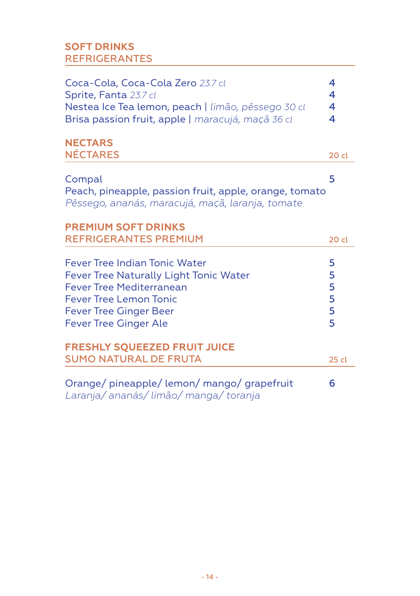# **SOFT DRINKS** REFRIGERANTES

| Coca-Cola, Coca-Cola Zero 23.7 cl<br>Sprite, Fanta 23.7 cl<br>Nestea Ice Tea lemon, peach   limão, pêssego 30 cl<br>Brisa passion fruit, apple   maracujá, maçã 36 cl                                        | 4<br>4<br>4<br>4           |
|--------------------------------------------------------------------------------------------------------------------------------------------------------------------------------------------------------------|----------------------------|
| <b>NECTARS</b><br><b>NÉCTARES</b>                                                                                                                                                                            | 20 cl                      |
|                                                                                                                                                                                                              |                            |
| Compal<br>Peach, pineapple, passion fruit, apple, orange, tomato<br>Pêssego, ananás, maracujá, maçã, laranja, tomate                                                                                         | 5                          |
| <b>PREMIUM SOFT DRINKS</b>                                                                                                                                                                                   |                            |
| <b>REFRIGERANTES PREMIUM</b>                                                                                                                                                                                 | 20 cl                      |
| Fever Tree Indian Tonic Water<br>Fever Tree Naturally Light Tonic Water<br><b>Fever Tree Mediterranean</b><br><b>Fever Tree Lemon Tonic</b><br><b>Fever Tree Ginger Beer</b><br><b>Fever Tree Ginger Ale</b> | 5<br>5<br>5<br>5<br>5<br>5 |
| <b>FRESHLY SQUEEZED FRUIT JUICE</b><br><b>SUMO NATURAL DE FRUTA</b>                                                                                                                                          | 25 cl                      |
| Orange/pineapple/lemon/mango/grapefruit<br>Laranja/ananás/limão/manga/toranja                                                                                                                                | 6                          |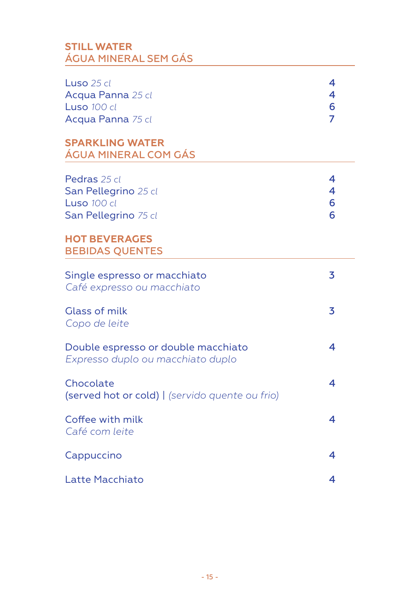# **STILL WATER**  ÁGUA MINERAL SEM GÁS

| Luso 25 cl<br>Acqua Panna 25 cl<br><b>Luso 100 cl</b><br>Acqua Panna 75 cl<br><b>SPARKLING WATER</b><br>ÁGUA MINERAL COM GÁS  | 4<br>4<br>6<br>$\overline{7}$ |
|-------------------------------------------------------------------------------------------------------------------------------|-------------------------------|
| Pedras 25 cl<br>San Pellegrino 25 cl<br>Luso 100 cl<br>San Pellegrino 75 cl<br><b>HOT BEVERAGES</b><br><b>BEBIDAS QUENTES</b> | 4<br>4<br>6<br>6              |
| Single espresso or macchiato<br>Café expresso ou macchiato                                                                    | 3                             |
| Glass of milk<br>Copo de leite                                                                                                | 3                             |
| Double espresso or double macchiato<br>Expresso duplo ou macchiato duplo                                                      | 4                             |
| Chocolate<br>(served hot or cold)   (servido quente ou frio)                                                                  | 4                             |
| Coffee with milk<br>Café com leite                                                                                            | 4                             |
| Cappuccino                                                                                                                    | 4                             |
| Latte Macchiato                                                                                                               | 4                             |